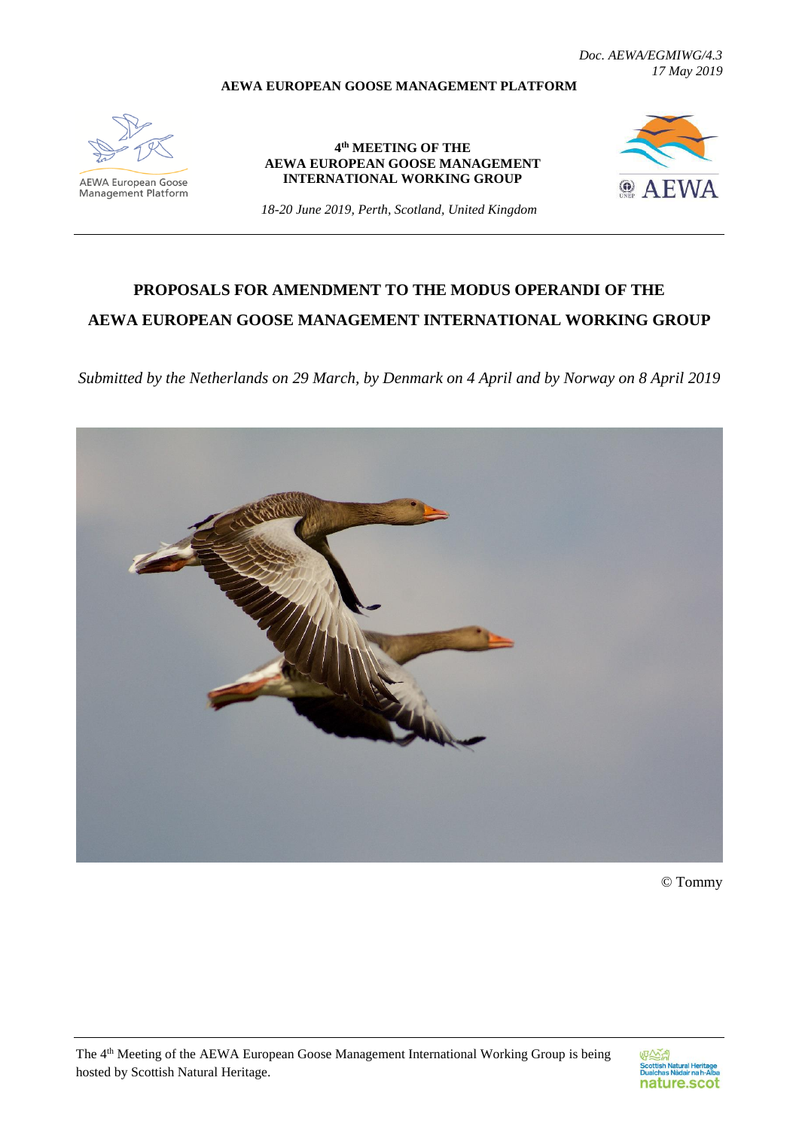**AEWA EUROPEAN GOOSE MANAGEMENT PLATFORM**

*Doc. AEWA/EGMIWG/4.3 17 May 2019*

**AEWA European Goose**<br>Management Platform

**4 th MEETING OF THE AEWA EUROPEAN GOOSE MANAGEMENT INTERNATIONAL WORKING GROUP**



*18-20 June 2019, Perth, Scotland, United Kingdom*

# **PROPOSALS FOR AMENDMENT TO THE MODUS OPERANDI OF THE AEWA EUROPEAN GOOSE MANAGEMENT INTERNATIONAL WORKING GROUP**

*Submitted by the Netherlands on 29 March, by Denmark on 4 April and by Norway on 8 April 2019*



© Tommy

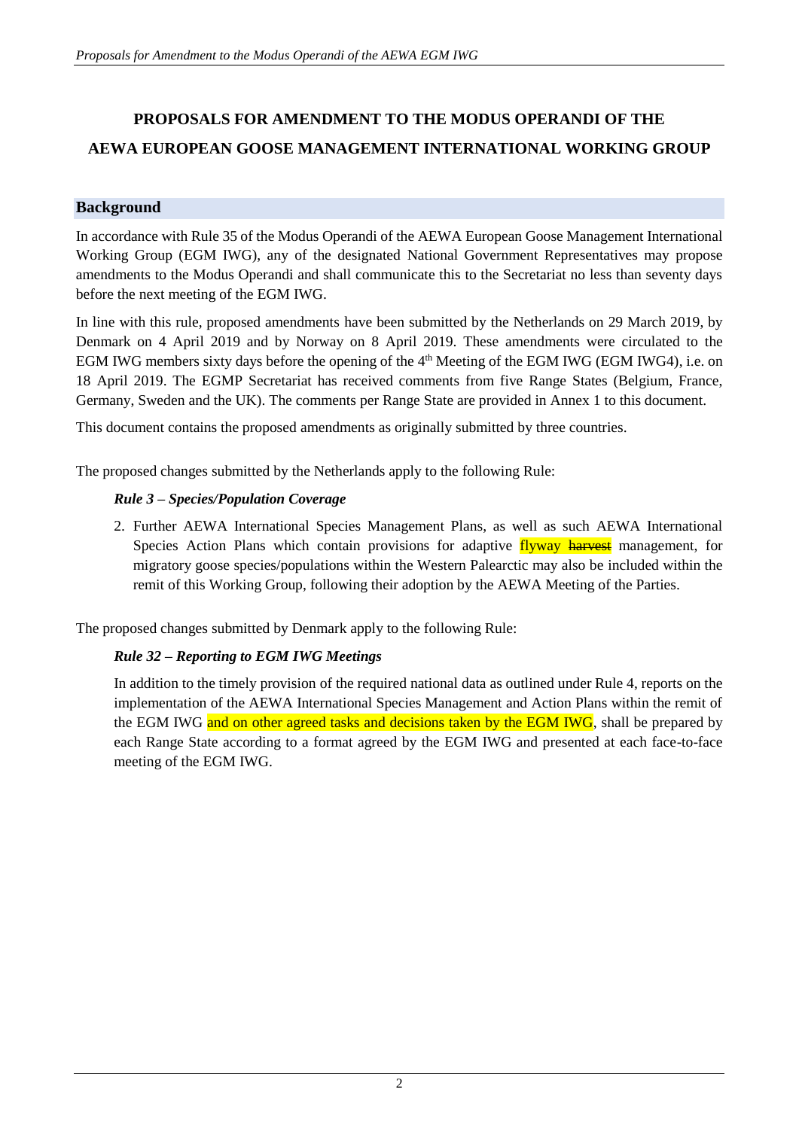# **PROPOSALS FOR AMENDMENT TO THE MODUS OPERANDI OF THE AEWA EUROPEAN GOOSE MANAGEMENT INTERNATIONAL WORKING GROUP**

# **Background**

In accordance with Rule 35 of the Modus Operandi of the AEWA European Goose Management International Working Group (EGM IWG), any of the designated National Government Representatives may propose amendments to the Modus Operandi and shall communicate this to the Secretariat no less than seventy days before the next meeting of the EGM IWG.

In line with this rule, proposed amendments have been submitted by the Netherlands on 29 March 2019, by Denmark on 4 April 2019 and by Norway on 8 April 2019. These amendments were circulated to the EGM IWG members sixty days before the opening of the 4<sup>th</sup> Meeting of the EGM IWG (EGM IWG4), i.e. on 18 April 2019. The EGMP Secretariat has received comments from five Range States (Belgium, France, Germany, Sweden and the UK). The comments per Range State are provided in Annex 1 to this document.

This document contains the proposed amendments as originally submitted by three countries.

The proposed changes submitted by the Netherlands apply to the following Rule:

# *Rule 3 – Species/Population Coverage*

2. Further AEWA International Species Management Plans, as well as such AEWA International Species Action Plans which contain provisions for adaptive flyway harvest management, for migratory goose species/populations within the Western Palearctic may also be included within the remit of this Working Group, following their adoption by the AEWA Meeting of the Parties.

The proposed changes submitted by Denmark apply to the following Rule:

# *Rule 32 – Reporting to EGM IWG Meetings*

In addition to the timely provision of the required national data as outlined under Rule 4, reports on the implementation of the AEWA International Species Management and Action Plans within the remit of the EGM IWG and on other agreed tasks and decisions taken by the EGM IWG, shall be prepared by each Range State according to a format agreed by the EGM IWG and presented at each face-to-face meeting of the EGM IWG.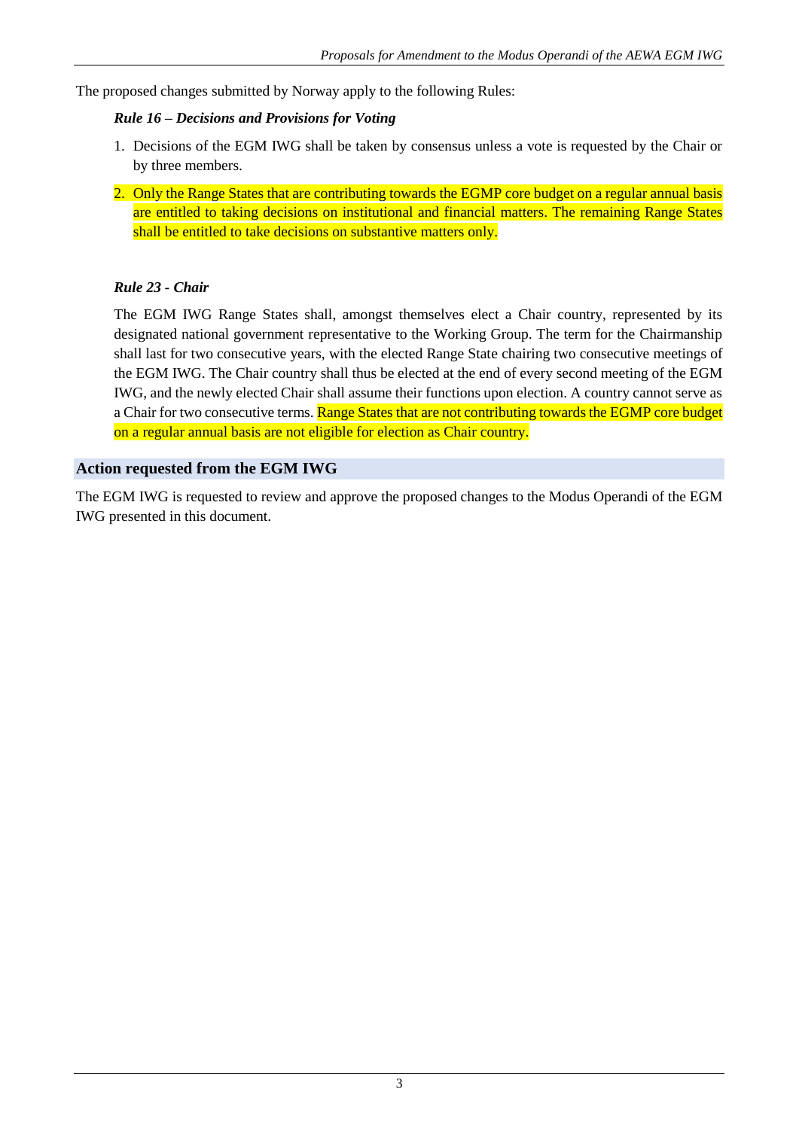The proposed changes submitted by Norway apply to the following Rules:

# *Rule 16 – Decisions and Provisions for Voting*

- 1. Decisions of the EGM IWG shall be taken by consensus unless a vote is requested by the Chair or by three members.
- 2. Only the Range States that are contributing towards the EGMP core budget on a regular annual basis are entitled to taking decisions on institutional and financial matters. The remaining Range States shall be entitled to take decisions on substantive matters only.

# *Rule 23 - Chair*

The EGM IWG Range States shall, amongst themselves elect a Chair country, represented by its designated national government representative to the Working Group. The term for the Chairmanship shall last for two consecutive years, with the elected Range State chairing two consecutive meetings of the EGM IWG. The Chair country shall thus be elected at the end of every second meeting of the EGM IWG, and the newly elected Chair shall assume their functions upon election. A country cannot serve as a Chair for two consecutive terms. Range States that are not contributing towards the EGMP core budget on a regular annual basis are not eligible for election as Chair country.

# **Action requested from the EGM IWG**

The EGM IWG is requested to review and approve the proposed changes to the Modus Operandi of the EGM IWG presented in this document.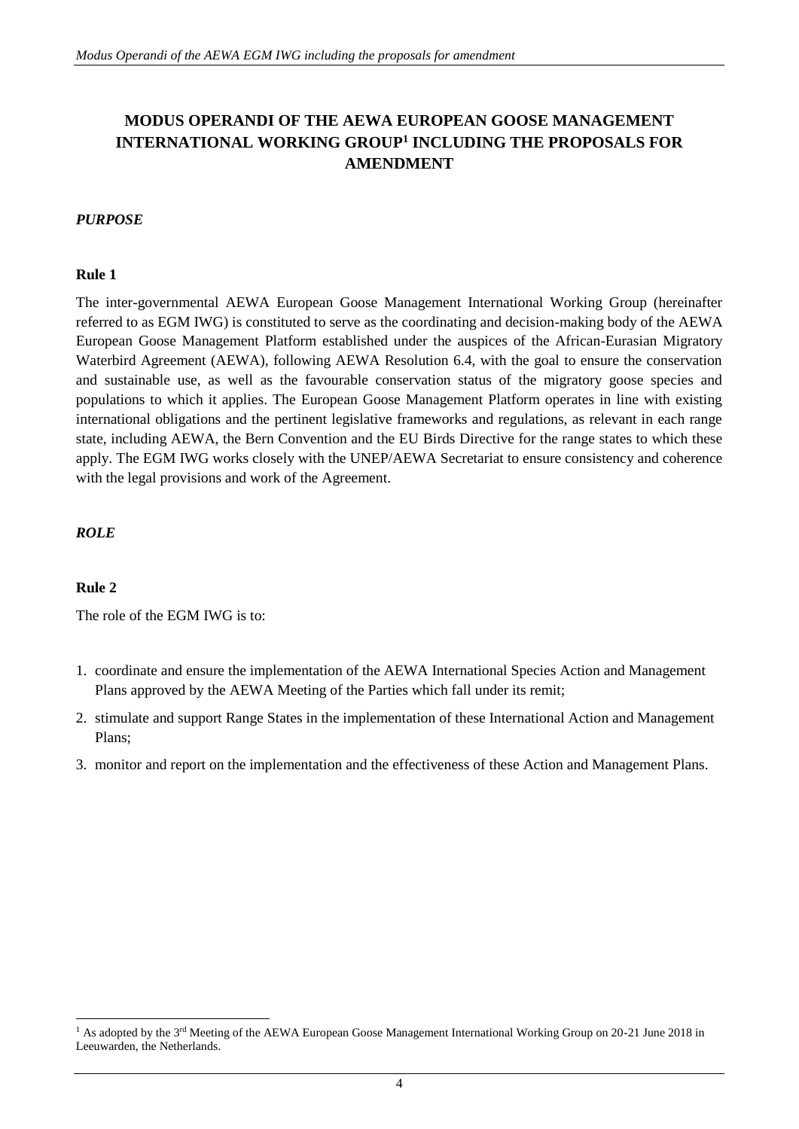# **MODUS OPERANDI OF THE AEWA EUROPEAN GOOSE MANAGEMENT**  INTERNATIONAL WORKING GROUP<sup>1</sup> INCLUDING THE PROPOSALS FOR **AMENDMENT**

#### *PURPOSE*

#### **Rule 1**

The inter-governmental AEWA European Goose Management International Working Group (hereinafter referred to as EGM IWG) is constituted to serve as the coordinating and decision-making body of the AEWA European Goose Management Platform established under the auspices of the African-Eurasian Migratory Waterbird Agreement (AEWA), following AEWA Resolution 6.4, with the goal to ensure the conservation and sustainable use, as well as the favourable conservation status of the migratory goose species and populations to which it applies. The European Goose Management Platform operates in line with existing international obligations and the pertinent legislative frameworks and regulations, as relevant in each range state, including AEWA, the Bern Convention and the EU Birds Directive for the range states to which these apply. The EGM IWG works closely with the UNEP/AEWA Secretariat to ensure consistency and coherence with the legal provisions and work of the Agreement.

#### *ROLE*

#### **Rule 2**

1

The role of the EGM IWG is to:

- 1. coordinate and ensure the implementation of the AEWA International Species Action and Management Plans approved by the AEWA Meeting of the Parties which fall under its remit;
- 2. stimulate and support Range States in the implementation of these International Action and Management Plans;
- 3. monitor and report on the implementation and the effectiveness of these Action and Management Plans.

<sup>&</sup>lt;sup>1</sup> As adopted by the 3<sup>rd</sup> Meeting of the AEWA European Goose Management International Working Group on 20-21 June 2018 in Leeuwarden, the Netherlands.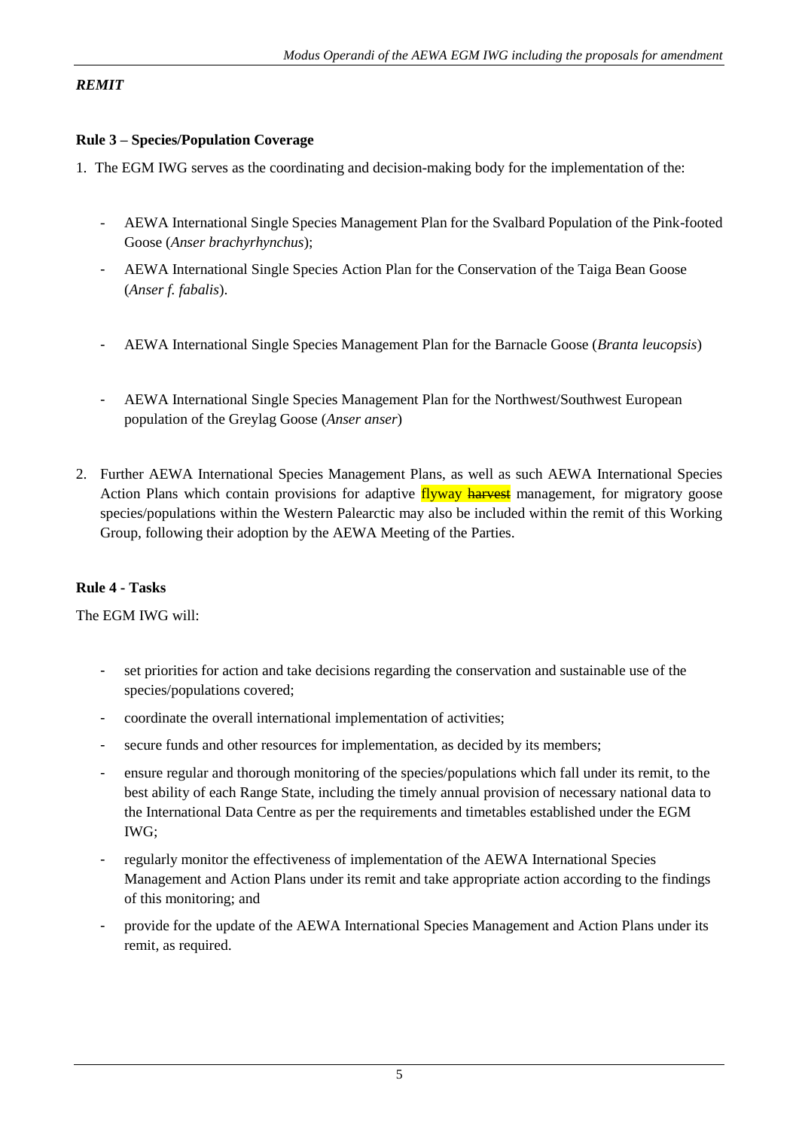# *REMIT*

# **Rule 3 – Species/Population Coverage**

- 1. The EGM IWG serves as the coordinating and decision-making body for the implementation of the:
	- AEWA International Single Species Management Plan for the Svalbard Population of the Pink-footed Goose (*Anser brachyrhynchus*);
	- AEWA International Single Species Action Plan for the Conservation of the Taiga Bean Goose (*Anser f. fabalis*).
	- AEWA International Single Species Management Plan for the Barnacle Goose (*Branta leucopsis*)
	- AEWA International Single Species Management Plan for the Northwest/Southwest European population of the Greylag Goose (*Anser anser*)
- 2. Further AEWA International Species Management Plans, as well as such AEWA International Species Action Plans which contain provisions for adaptive flyway harvest management, for migratory goose species/populations within the Western Palearctic may also be included within the remit of this Working Group, following their adoption by the AEWA Meeting of the Parties.

# **Rule 4 - Tasks**

The EGM IWG will:

- set priorities for action and take decisions regarding the conservation and sustainable use of the species/populations covered;
- coordinate the overall international implementation of activities;
- secure funds and other resources for implementation, as decided by its members;
- ensure regular and thorough monitoring of the species/populations which fall under its remit, to the best ability of each Range State, including the timely annual provision of necessary national data to the International Data Centre as per the requirements and timetables established under the EGM IWG;
- regularly monitor the effectiveness of implementation of the AEWA International Species Management and Action Plans under its remit and take appropriate action according to the findings of this monitoring; and
- provide for the update of the AEWA International Species Management and Action Plans under its remit, as required.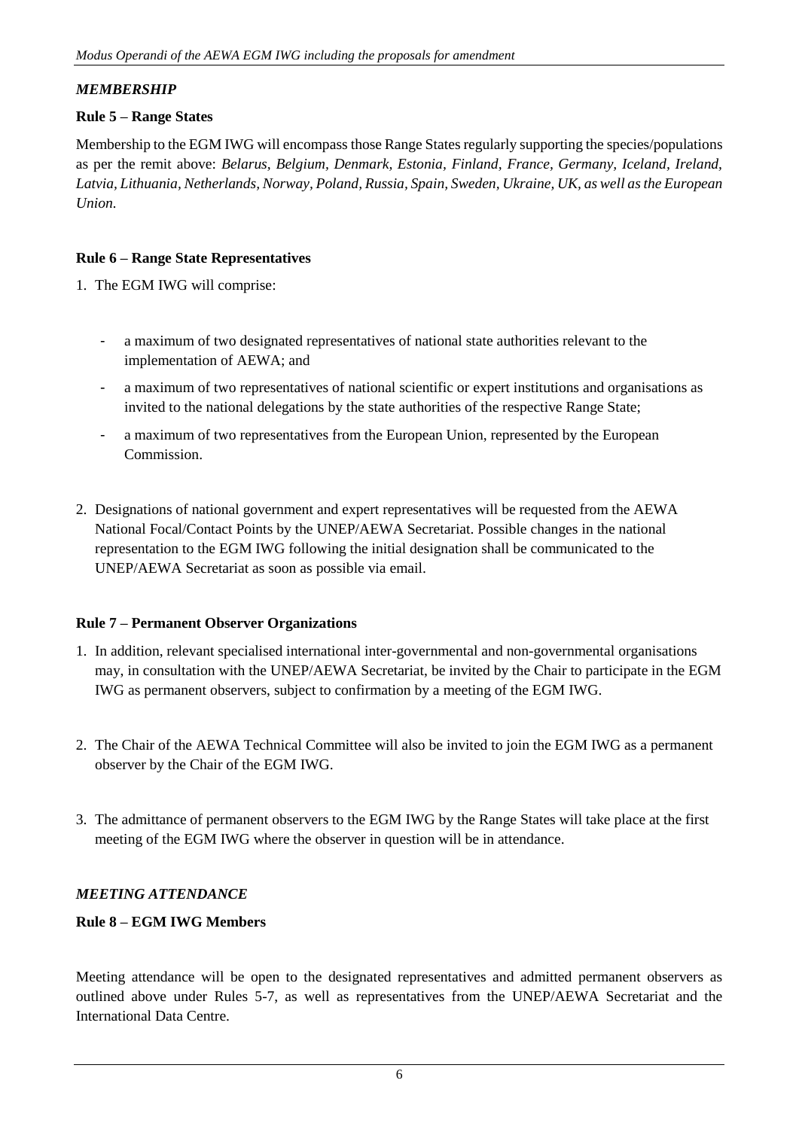# *MEMBERSHIP*

# **Rule 5 – Range States**

Membership to the EGM IWG will encompass those Range States regularly supporting the species/populations as per the remit above: *Belarus, Belgium, Denmark, Estonia, Finland, France, Germany, Iceland, Ireland, Latvia, Lithuania, Netherlands, Norway, Poland, Russia, Spain, Sweden, Ukraine, UK, as well as the European Union.*

# **Rule 6 – Range State Representatives**

1. The EGM IWG will comprise:

- a maximum of two designated representatives of national state authorities relevant to the implementation of AEWA; and
- a maximum of two representatives of national scientific or expert institutions and organisations as invited to the national delegations by the state authorities of the respective Range State;
- a maximum of two representatives from the European Union, represented by the European Commission.
- 2. Designations of national government and expert representatives will be requested from the AEWA National Focal/Contact Points by the UNEP/AEWA Secretariat. Possible changes in the national representation to the EGM IWG following the initial designation shall be communicated to the UNEP/AEWA Secretariat as soon as possible via email.

#### **Rule 7 – Permanent Observer Organizations**

- 1. In addition, relevant specialised international inter-governmental and non-governmental organisations may, in consultation with the UNEP/AEWA Secretariat, be invited by the Chair to participate in the EGM IWG as permanent observers, subject to confirmation by a meeting of the EGM IWG.
- 2. The Chair of the AEWA Technical Committee will also be invited to join the EGM IWG as a permanent observer by the Chair of the EGM IWG.
- 3. The admittance of permanent observers to the EGM IWG by the Range States will take place at the first meeting of the EGM IWG where the observer in question will be in attendance.

# *MEETING ATTENDANCE*

# **Rule 8 – EGM IWG Members**

Meeting attendance will be open to the designated representatives and admitted permanent observers as outlined above under Rules 5-7, as well as representatives from the UNEP/AEWA Secretariat and the International Data Centre.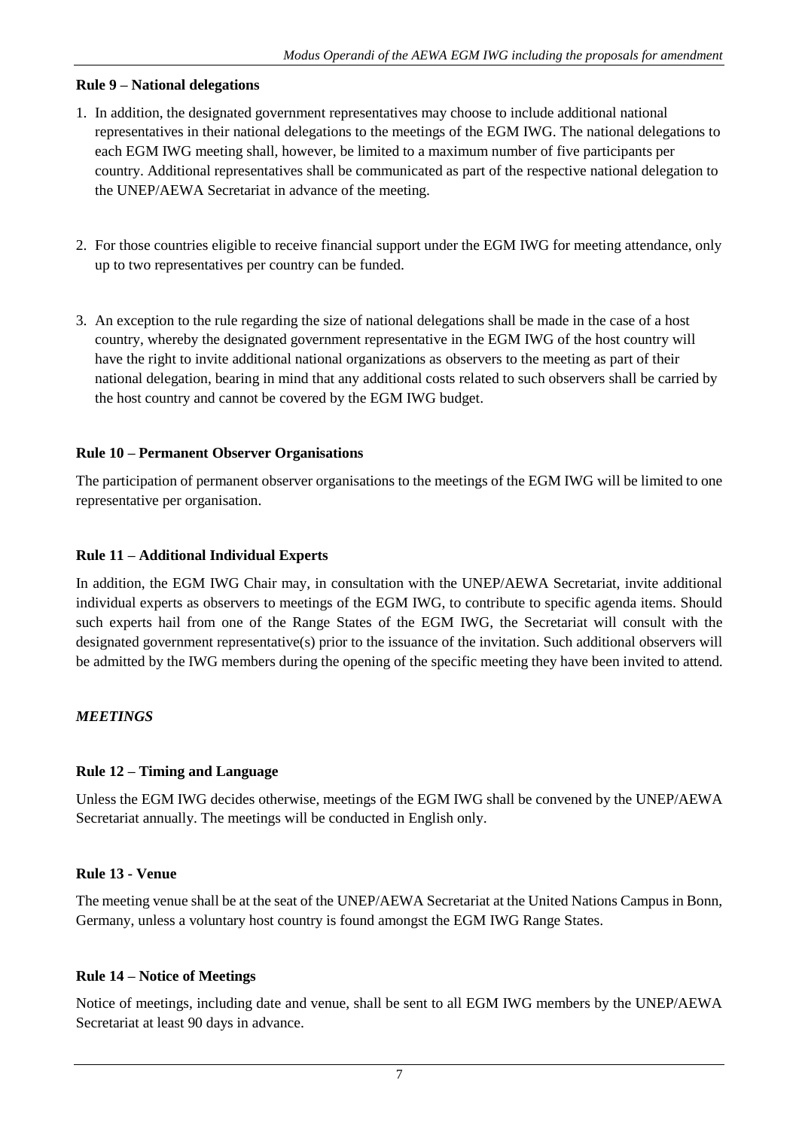#### **Rule 9 – National delegations**

- 1. In addition, the designated government representatives may choose to include additional national representatives in their national delegations to the meetings of the EGM IWG. The national delegations to each EGM IWG meeting shall, however, be limited to a maximum number of five participants per country. Additional representatives shall be communicated as part of the respective national delegation to the UNEP/AEWA Secretariat in advance of the meeting.
- 2. For those countries eligible to receive financial support under the EGM IWG for meeting attendance, only up to two representatives per country can be funded.
- 3. An exception to the rule regarding the size of national delegations shall be made in the case of a host country, whereby the designated government representative in the EGM IWG of the host country will have the right to invite additional national organizations as observers to the meeting as part of their national delegation, bearing in mind that any additional costs related to such observers shall be carried by the host country and cannot be covered by the EGM IWG budget.

# **Rule 10 – Permanent Observer Organisations**

The participation of permanent observer organisations to the meetings of the EGM IWG will be limited to one representative per organisation.

# **Rule 11 – Additional Individual Experts**

In addition, the EGM IWG Chair may, in consultation with the UNEP/AEWA Secretariat, invite additional individual experts as observers to meetings of the EGM IWG, to contribute to specific agenda items. Should such experts hail from one of the Range States of the EGM IWG, the Secretariat will consult with the designated government representative(s) prior to the issuance of the invitation. Such additional observers will be admitted by the IWG members during the opening of the specific meeting they have been invited to attend.

# *MEETINGS*

#### **Rule 12 – Timing and Language**

Unless the EGM IWG decides otherwise, meetings of the EGM IWG shall be convened by the UNEP/AEWA Secretariat annually. The meetings will be conducted in English only.

#### **Rule 13 - Venue**

The meeting venue shall be at the seat of the UNEP/AEWA Secretariat at the United Nations Campus in Bonn, Germany, unless a voluntary host country is found amongst the EGM IWG Range States.

#### **Rule 14 – Notice of Meetings**

Notice of meetings, including date and venue, shall be sent to all EGM IWG members by the UNEP/AEWA Secretariat at least 90 days in advance.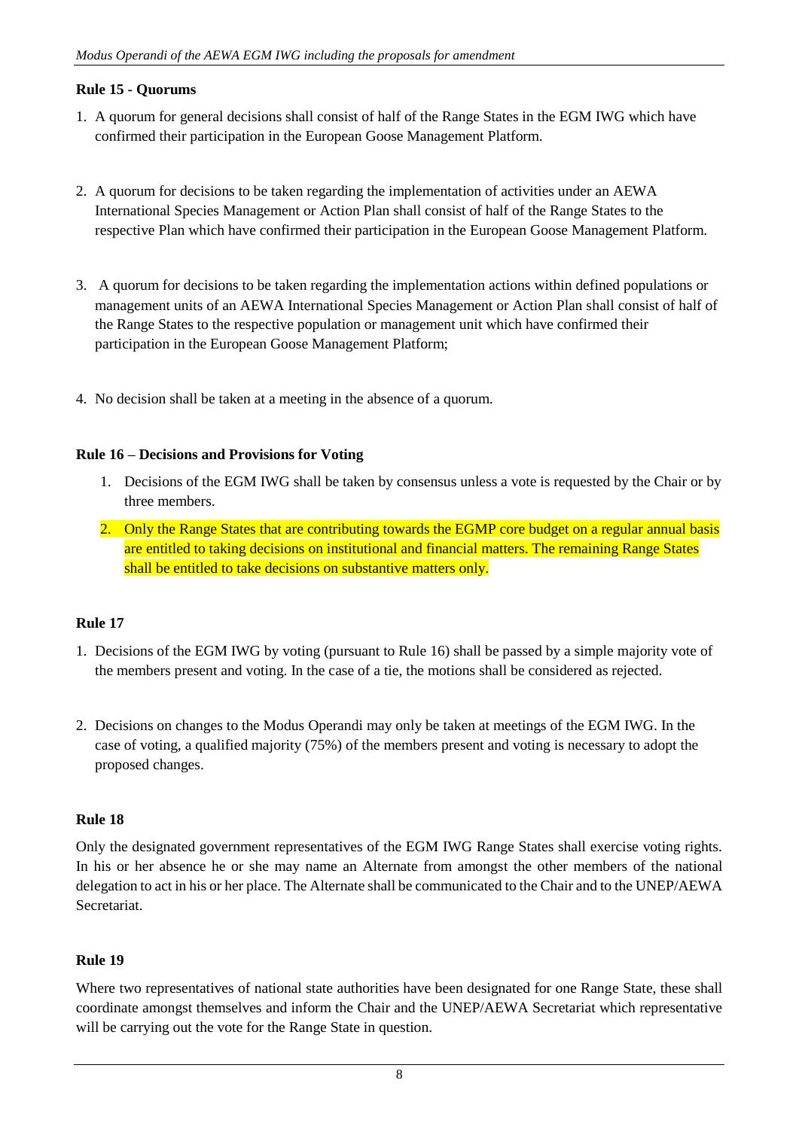# **Rule 15 - Quorums**

- 1. A quorum for general decisions shall consist of half of the Range States in the EGM IWG which have confirmed their participation in the European Goose Management Platform.
- 2. A quorum for decisions to be taken regarding the implementation of activities under an AEWA International Species Management or Action Plan shall consist of half of the Range States to the respective Plan which have confirmed their participation in the European Goose Management Platform.
- 3. A quorum for decisions to be taken regarding the implementation actions within defined populations or management units of an AEWA International Species Management or Action Plan shall consist of half of the Range States to the respective population or management unit which have confirmed their participation in the European Goose Management Platform;
- 4. No decision shall be taken at a meeting in the absence of a quorum.

#### **Rule 16 – Decisions and Provisions for Voting**

- 1. Decisions of the EGM IWG shall be taken by consensus unless a vote is requested by the Chair or by three members.
- 2. Only the Range States that are contributing towards the EGMP core budget on a regular annual basis are entitled to taking decisions on institutional and financial matters. The remaining Range States shall be entitled to take decisions on substantive matters only.

#### **Rule 17**

- 1. Decisions of the EGM IWG by voting (pursuant to Rule 16) shall be passed by a simple majority vote of the members present and voting. In the case of a tie, the motions shall be considered as rejected.
- 2. Decisions on changes to the Modus Operandi may only be taken at meetings of the EGM IWG. In the case of voting, a qualified majority (75%) of the members present and voting is necessary to adopt the proposed changes.

#### **Rule 18**

Only the designated government representatives of the EGM IWG Range States shall exercise voting rights. In his or her absence he or she may name an Alternate from amongst the other members of the national delegation to act in his or her place. The Alternate shall be communicated to the Chair and to the UNEP/AEWA Secretariat.

#### **Rule 19**

Where two representatives of national state authorities have been designated for one Range State, these shall coordinate amongst themselves and inform the Chair and the UNEP/AEWA Secretariat which representative will be carrying out the vote for the Range State in question.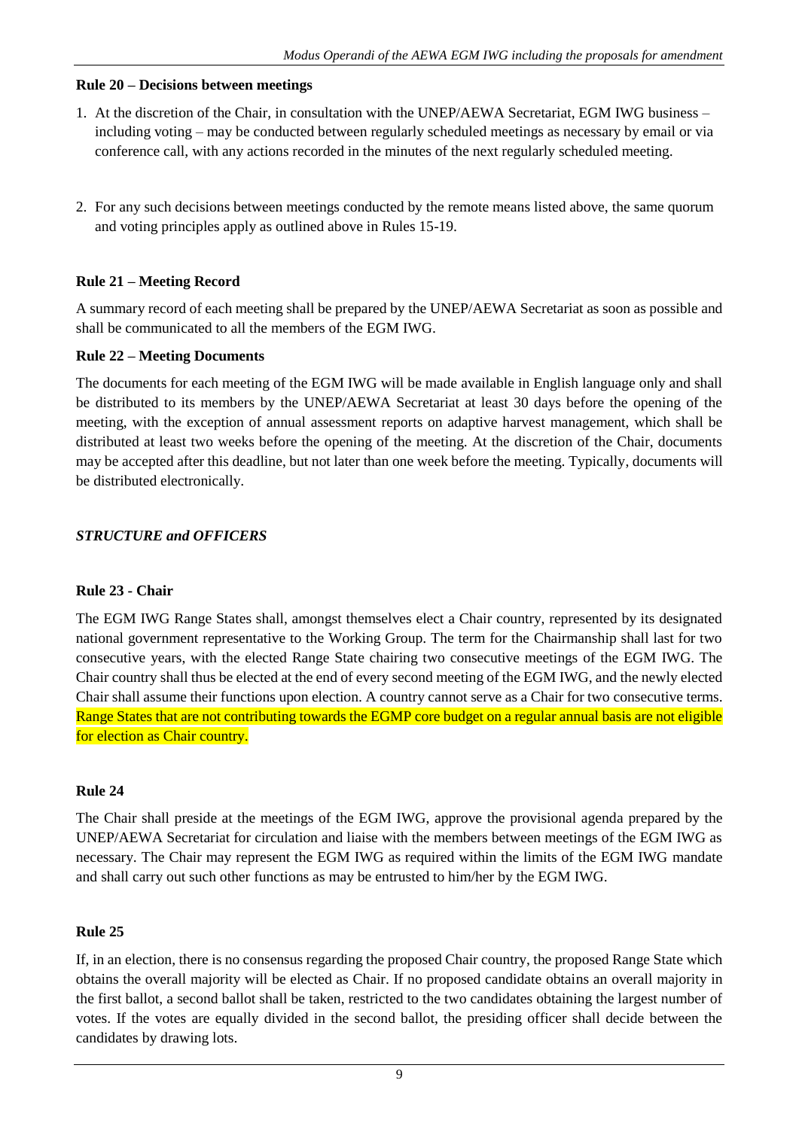#### **Rule 20 – Decisions between meetings**

- 1. At the discretion of the Chair, in consultation with the UNEP/AEWA Secretariat, EGM IWG business including voting – may be conducted between regularly scheduled meetings as necessary by email or via conference call, with any actions recorded in the minutes of the next regularly scheduled meeting.
- 2. For any such decisions between meetings conducted by the remote means listed above, the same quorum and voting principles apply as outlined above in Rules 15-19.

# **Rule 21 – Meeting Record**

A summary record of each meeting shall be prepared by the UNEP/AEWA Secretariat as soon as possible and shall be communicated to all the members of the EGM IWG.

# **Rule 22 – Meeting Documents**

The documents for each meeting of the EGM IWG will be made available in English language only and shall be distributed to its members by the UNEP/AEWA Secretariat at least 30 days before the opening of the meeting, with the exception of annual assessment reports on adaptive harvest management, which shall be distributed at least two weeks before the opening of the meeting. At the discretion of the Chair, documents may be accepted after this deadline, but not later than one week before the meeting. Typically, documents will be distributed electronically.

# *STRUCTURE and OFFICERS*

#### **Rule 23 - Chair**

The EGM IWG Range States shall, amongst themselves elect a Chair country, represented by its designated national government representative to the Working Group. The term for the Chairmanship shall last for two consecutive years, with the elected Range State chairing two consecutive meetings of the EGM IWG. The Chair country shall thus be elected at the end of every second meeting of the EGM IWG, and the newly elected Chair shall assume their functions upon election. A country cannot serve as a Chair for two consecutive terms. Range States that are not contributing towards the EGMP core budget on a regular annual basis are not eligible for election as Chair country.

# **Rule 24**

The Chair shall preside at the meetings of the EGM IWG, approve the provisional agenda prepared by the UNEP/AEWA Secretariat for circulation and liaise with the members between meetings of the EGM IWG as necessary. The Chair may represent the EGM IWG as required within the limits of the EGM IWG mandate and shall carry out such other functions as may be entrusted to him/her by the EGM IWG.

# **Rule 25**

If, in an election, there is no consensus regarding the proposed Chair country, the proposed Range State which obtains the overall majority will be elected as Chair. If no proposed candidate obtains an overall majority in the first ballot, a second ballot shall be taken, restricted to the two candidates obtaining the largest number of votes. If the votes are equally divided in the second ballot, the presiding officer shall decide between the candidates by drawing lots.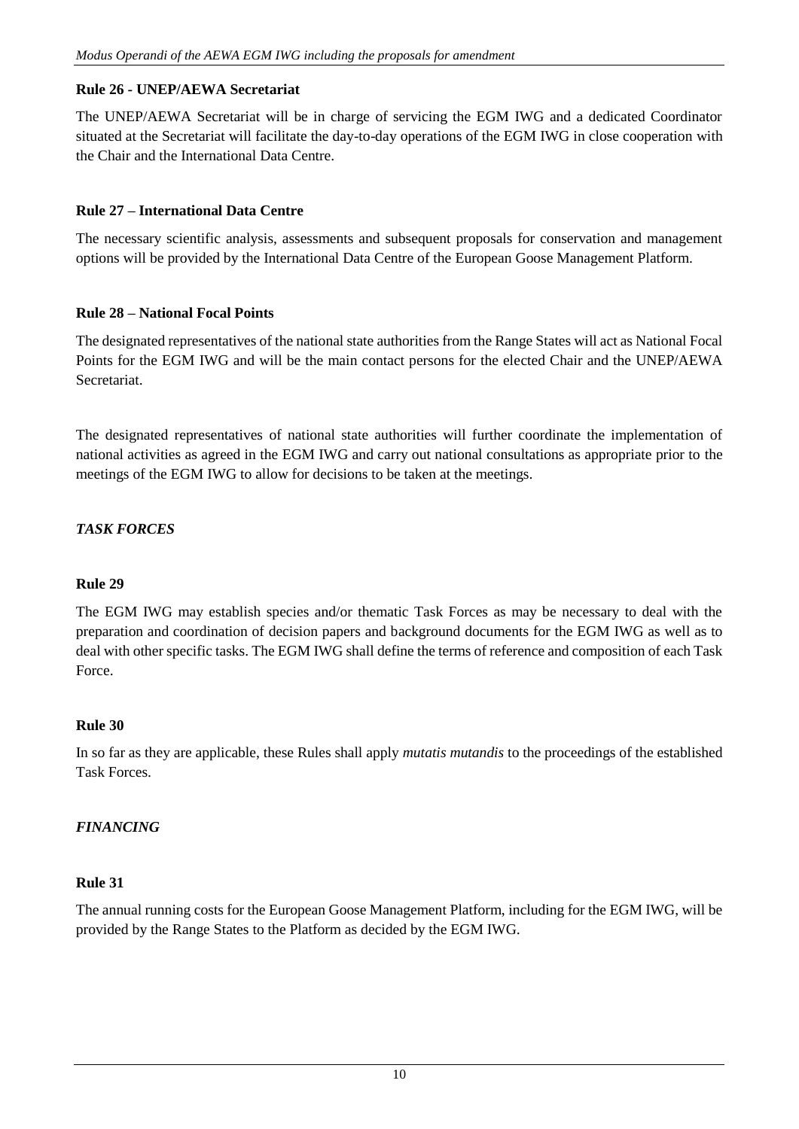# **Rule 26 - UNEP/AEWA Secretariat**

The UNEP/AEWA Secretariat will be in charge of servicing the EGM IWG and a dedicated Coordinator situated at the Secretariat will facilitate the day-to-day operations of the EGM IWG in close cooperation with the Chair and the International Data Centre.

#### **Rule 27 – International Data Centre**

The necessary scientific analysis, assessments and subsequent proposals for conservation and management options will be provided by the International Data Centre of the European Goose Management Platform.

# **Rule 28 – National Focal Points**

The designated representatives of the national state authorities from the Range States will act as National Focal Points for the EGM IWG and will be the main contact persons for the elected Chair and the UNEP/AEWA Secretariat.

The designated representatives of national state authorities will further coordinate the implementation of national activities as agreed in the EGM IWG and carry out national consultations as appropriate prior to the meetings of the EGM IWG to allow for decisions to be taken at the meetings.

# *TASK FORCES*

# **Rule 29**

The EGM IWG may establish species and/or thematic Task Forces as may be necessary to deal with the preparation and coordination of decision papers and background documents for the EGM IWG as well as to deal with other specific tasks. The EGM IWG shall define the terms of reference and composition of each Task Force.

#### **Rule 30**

In so far as they are applicable, these Rules shall apply *mutatis mutandis* to the proceedings of the established Task Forces.

# *FINANCING*

# **Rule 31**

The annual running costs for the European Goose Management Platform, including for the EGM IWG, will be provided by the Range States to the Platform as decided by the EGM IWG.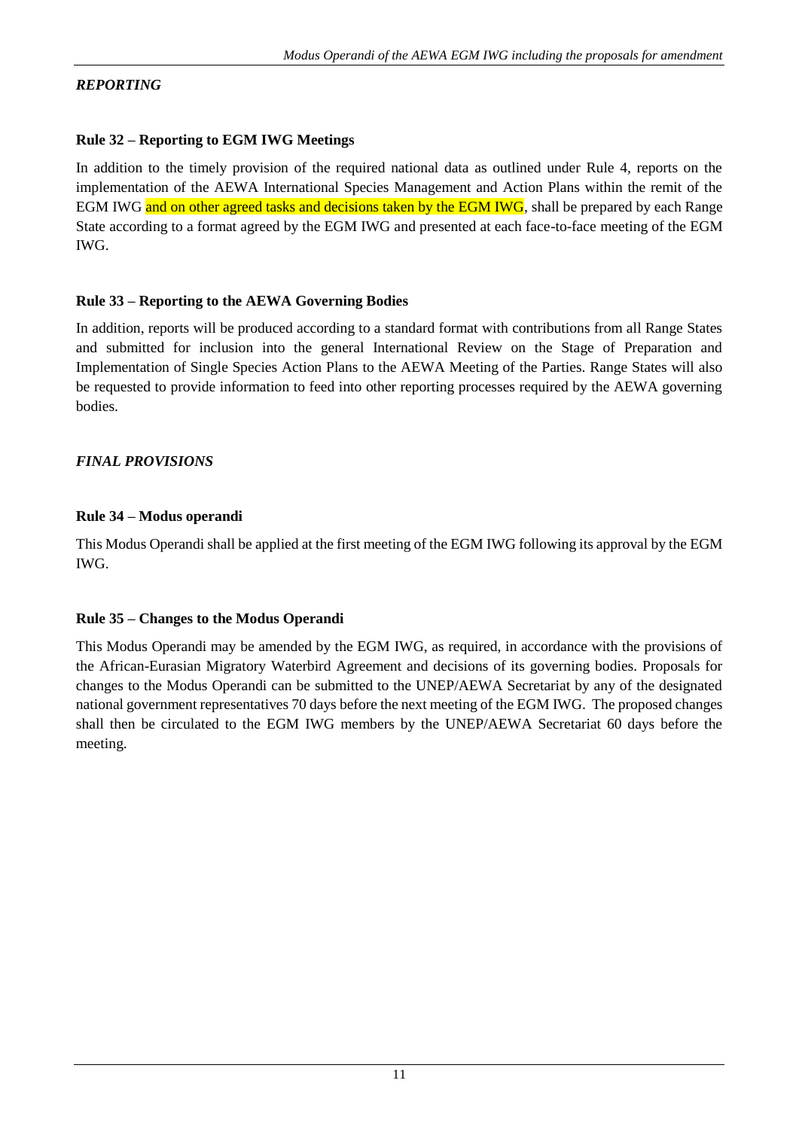# *REPORTING*

# **Rule 32 – Reporting to EGM IWG Meetings**

In addition to the timely provision of the required national data as outlined under Rule 4, reports on the implementation of the AEWA International Species Management and Action Plans within the remit of the EGM IWG and on other agreed tasks and decisions taken by the EGM IWG, shall be prepared by each Range State according to a format agreed by the EGM IWG and presented at each face-to-face meeting of the EGM IWG.

# **Rule 33 – Reporting to the AEWA Governing Bodies**

In addition, reports will be produced according to a standard format with contributions from all Range States and submitted for inclusion into the general International Review on the Stage of Preparation and Implementation of Single Species Action Plans to the AEWA Meeting of the Parties. Range States will also be requested to provide information to feed into other reporting processes required by the AEWA governing bodies.

# *FINAL PROVISIONS*

# **Rule 34 – Modus operandi**

This Modus Operandi shall be applied at the first meeting of the EGM IWG following its approval by the EGM IWG.

#### **Rule 35 – Changes to the Modus Operandi**

This Modus Operandi may be amended by the EGM IWG, as required, in accordance with the provisions of the African-Eurasian Migratory Waterbird Agreement and decisions of its governing bodies. Proposals for changes to the Modus Operandi can be submitted to the UNEP/AEWA Secretariat by any of the designated national government representatives 70 days before the next meeting of the EGM IWG. The proposed changes shall then be circulated to the EGM IWG members by the UNEP/AEWA Secretariat 60 days before the meeting.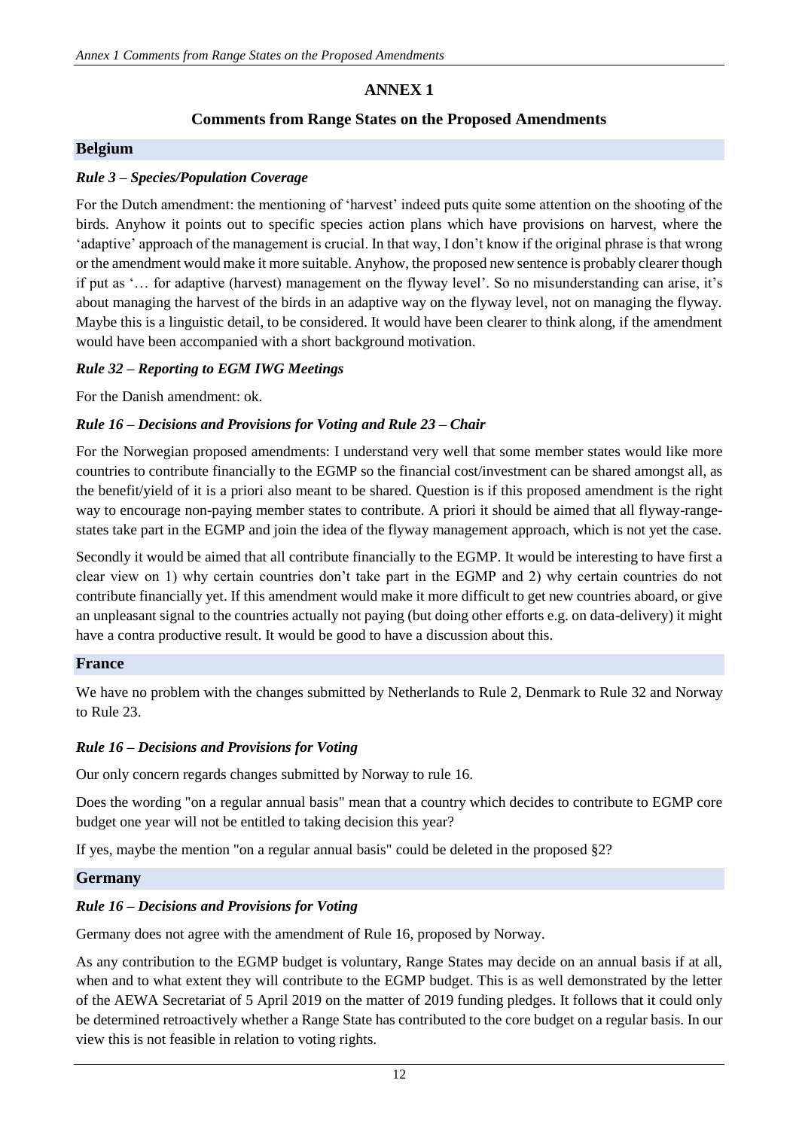# **ANNEX 1**

# **Comments from Range States on the Proposed Amendments**

# **Belgium**

# *Rule 3 – Species/Population Coverage*

For the Dutch amendment: the mentioning of 'harvest' indeed puts quite some attention on the shooting of the birds. Anyhow it points out to specific species action plans which have provisions on harvest, where the 'adaptive' approach of the management is crucial. In that way, I don't know if the original phrase is that wrong or the amendment would make it more suitable. Anyhow, the proposed new sentence is probably clearer though if put as '… for adaptive (harvest) management on the flyway level'. So no misunderstanding can arise, it's about managing the harvest of the birds in an adaptive way on the flyway level, not on managing the flyway. Maybe this is a linguistic detail, to be considered. It would have been clearer to think along, if the amendment would have been accompanied with a short background motivation.

# *Rule 32 – Reporting to EGM IWG Meetings*

For the Danish amendment: ok.

# *Rule 16 – Decisions and Provisions for Voting and Rule 23 – Chair*

For the Norwegian proposed amendments: I understand very well that some member states would like more countries to contribute financially to the EGMP so the financial cost/investment can be shared amongst all, as the benefit/yield of it is a priori also meant to be shared. Question is if this proposed amendment is the right way to encourage non-paying member states to contribute. A priori it should be aimed that all flyway-rangestates take part in the EGMP and join the idea of the flyway management approach, which is not yet the case.

Secondly it would be aimed that all contribute financially to the EGMP. It would be interesting to have first a clear view on 1) why certain countries don't take part in the EGMP and 2) why certain countries do not contribute financially yet. If this amendment would make it more difficult to get new countries aboard, or give an unpleasant signal to the countries actually not paying (but doing other efforts e.g. on data-delivery) it might have a contra productive result. It would be good to have a discussion about this.

#### **France**

We have no problem with the changes submitted by Netherlands to Rule 2, Denmark to Rule 32 and Norway to Rule 23.

#### *Rule 16 – Decisions and Provisions for Voting*

Our only concern regards changes submitted by Norway to rule 16.

Does the wording "on a regular annual basis" mean that a country which decides to contribute to EGMP core budget one year will not be entitled to taking decision this year?

If yes, maybe the mention "on a regular annual basis" could be deleted in the proposed  $\S2$ ?

#### **Germany**

#### *Rule 16 – Decisions and Provisions for Voting*

Germany does not agree with the amendment of Rule 16, proposed by Norway.

As any contribution to the EGMP budget is voluntary, Range States may decide on an annual basis if at all, when and to what extent they will contribute to the EGMP budget. This is as well demonstrated by the letter of the AEWA Secretariat of 5 April 2019 on the matter of 2019 funding pledges. It follows that it could only be determined retroactively whether a Range State has contributed to the core budget on a regular basis. In our view this is not feasible in relation to voting rights.